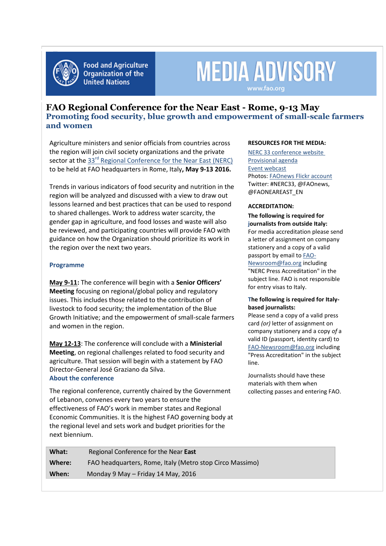

**Food and Agriculture Organization of the United Nations** 

# **MEDIA ADVISORY** www.fao.org

**FAO Regional Conference for the Near East - Rome, 9-13 May Promoting food security, blue growth and empowerment of small-scale farmers and women**

Agriculture ministers and senior officials from countries across the region will join civil society organizations and the private sector at the 33<sup>rd</sup> [Regional Conference for the Near East \(NERC\)](http://www.fao.org/about/meetings/nerc33/en/) to be held at FAO headquarters in Rome, Italy**, May 9-13 2016.**

Trends in various indicators of food security and nutrition in the region will be analyzed and discussed with a view to draw out lessons learned and best practices that can be used to respond to shared challenges. Work to address water scarcity, the gender gap in agriculture, and food losses and waste will also be reviewed, and participating countries will provide FAO with guidance on how the Organization should prioritize its work in the region over the next two years.

# **Programme**

**May 9-11:** The conference will begin with a **Senior Officers' Meeting** focusing on regional/global policy and regulatory issues. This includes those related to the contribution of livestock to food security; the implementation of the Blue Growth Initiative; and the empowerment of small-scale farmers and women in the region.

**May 12-13**: The conference will conclude with a **Ministerial Meeting**, on regional challenges related to food security and agriculture. That session will begin with a statement by FAO Director-General José Graziano da Silva. **About the conference**

The regional conference, currently chaired by the Government of Lebanon, convenes every two years to ensure the effectiveness of FAO's work in member states and Regional Economic Communities. It is the highest FAO governing body at the regional level and sets work and budget priorities for the next biennium.

### **RESOURCES FOR THE MEDIA:**

[NERC 33 conference website](http://www.fao.org/about/meetings/nerc32/en/)  [Provisional agenda](http://www.fao.org/3/a-mp718e.pdf) [Event webcast](http://www.fao.org/webcast/en/) Photos: [FAOnews Flickr account](http://www.flickr.com/photos/faonews) Twitter: #NERC33, @FAOnews, @FAONEAREAST\_EN

# **ACCREDITATION:**

**The following is required for journalists from outside Italy:**  For media accreditation please send a letter of assignment on company stationery and a copy of a valid passport by email to **FAO-**[Newsroom@fao.org](mailto:FAO-Newsroom@fao.org) including "NERC Press Accreditation" in the subject line. FAO is not responsible for entry visas to Italy.

### **The following is required for Italybased journalists:**

Please send a copy of a valid press card *(or)* letter of assignment on company stationery and a copy *of* a valid ID (passport, identity card) to [FAO-Newsroom@fao.org](mailto:FAO-Newsroom@fao.org) including "Press Accreditation" in the subject line.

Journalists should have these materials with them when collecting passes and entering FAO.

| What:  | Regional Conference for the Near East                    |
|--------|----------------------------------------------------------|
| Where: | FAO headquarters, Rome, Italy (Metro stop Circo Massimo) |
| When:  | Monday 9 May – Friday 14 May, 2016                       |